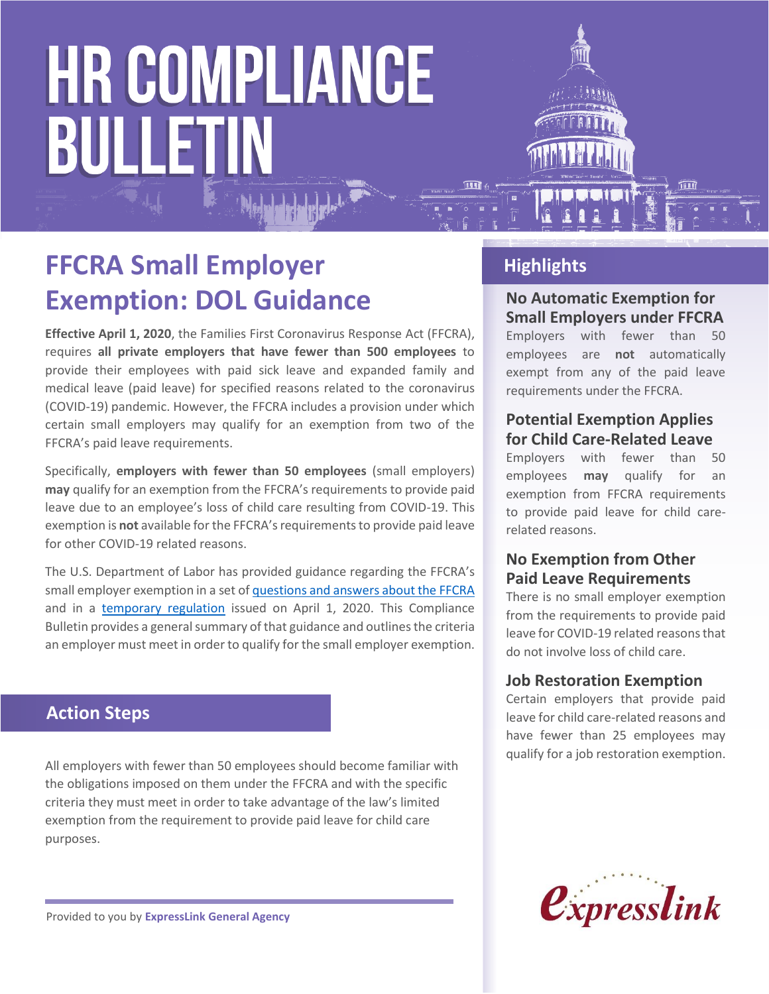# **HR COMPLIANCE BULLETIN**



**Effective April 1, 2020**, the Families First Coronavirus Response Act (FFCRA), requires **all private employers that have fewer than 500 employees** to provide their employees with paid sick leave and expanded family and medical leave (paid leave) for specified reasons related to the coronavirus (COVID-19) pandemic. However, the FFCRA includes a provision under which certain small employers may qualify for an exemption from two of the FFCRA's paid leave requirements.

Specifically, **employers with fewer than 50 employees** (small employers) **may** qualify for an exemption from the FFCRA's requirements to provide paid leave due to an employee's loss of child care resulting from COVID-19. This exemption is **not** available for the FFCRA's requirements to provide paid leave for other COVID-19 related reasons.

The U.S. Department of Labor has provided guidance regarding the FFCRA's small employer exemption in a set of [questions and answers about the FFCRA](https://www.dol.gov/agencies/whd/pandemic/ffcra-questions) and in a [temporary regulation](https://s3.amazonaws.com/public-inspection.federalregister.gov/2020-07237.pdf) issued on April 1, 2020. This Compliance Bulletin provides a general summary of that guidance and outlines the criteria an employer must meet in order to qualify for the small employer exemption.

### **Action Steps**

All employers with fewer than 50 employees should become familiar with the obligations imposed on them under the FFCRA and with the specific criteria they must meet in order to take advantage of the law's limited exemption from the requirement to provide paid leave for child care purposes.

**Highlights**

#### **No Automatic Exemption for Small Employers under FFCRA**

Employers with fewer than 50 employees are **not** automatically exempt from any of the paid leave requirements under the FFCRA.

#### **Potential Exemption Applies for Child Care-Related Leave**

Employers with fewer than 50 employees **may** qualify for an exemption from FFCRA requirements to provide paid leave for child carerelated reasons.

#### **No Exemption from Other Paid Leave Requirements**

There is no small employer exemption from the requirements to provide paid leave for COVID-19 related reasons that do not involve loss of child care.

#### **Job Restoration Exemption**

Certain employers that provide paid leave for child care-related reasons and have fewer than 25 employees may qualify for a job restoration exemption.



Provided to you by **ExpressLink General Agency**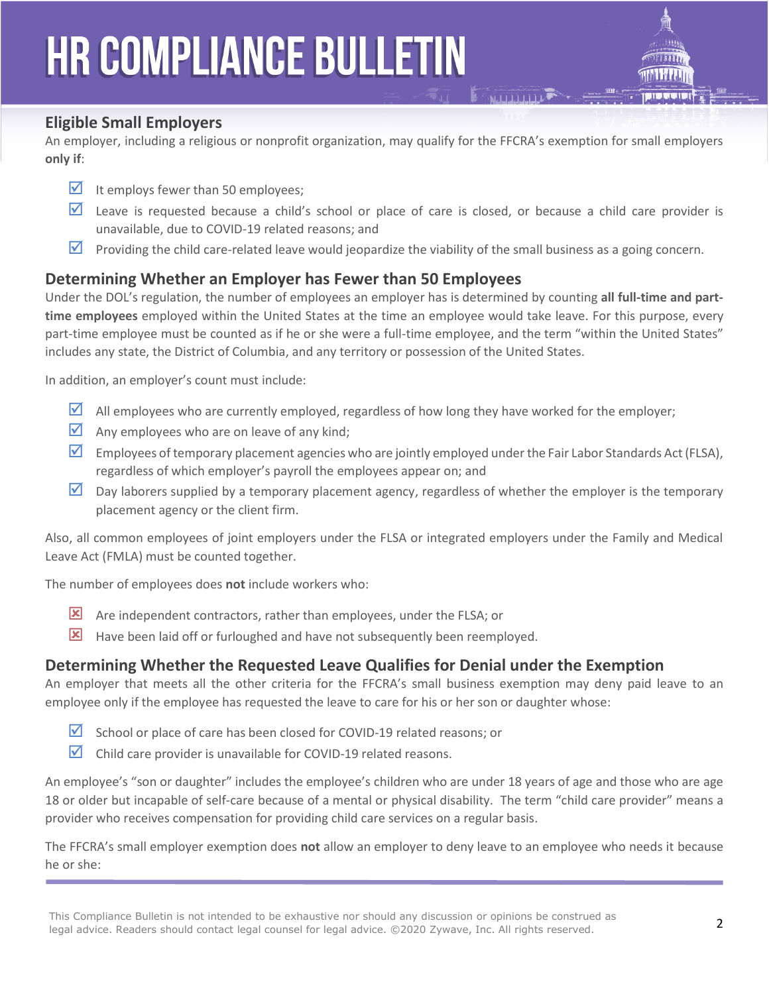## **HR COMPLIANCE BULLETIN**



#### **Eligible Small Employers**

An employer, including a religious or nonprofit organization, may qualify for the FFCRA's exemption for small employers **only if**:

- It employs fewer than 50 employees;
- $\triangleright$  Leave is requested because a child's school or place of care is closed, or because a child care provider is unavailable, due to COVID-19 related reasons; and
- **Providing the child care-related leave would jeopardize the viability of the small business as a going concern.**

#### **Determining Whether an Employer has Fewer than 50 Employees**

Under the DOL's regulation, the number of employees an employer has is determined by counting **all full-time and parttime employees** employed within the United States at the time an employee would take leave. For this purpose, every part-time employee must be counted as if he or she were a full-time employee, and the term "within the United States" includes any state, the District of Columbia, and any territory or possession of the United States.

In addition, an employer's count must include:

- $\blacktriangleright$  All employees who are currently employed, regardless of how long they have worked for the employer;
- $\blacksquare$  Any employees who are on leave of any kind;
- Employees of temporary placement agencies who are jointly employed under the Fair Labor Standards Act (FLSA), regardless of which employer's payroll the employees appear on; and
- $\triangledown$  Day laborers supplied by a temporary placement agency, regardless of whether the employer is the temporary placement agency or the client firm.

Also, all common employees of joint employers under the FLSA or integrated employers under the Family and Medical Leave Act (FMLA) must be counted together.

The number of employees does **not** include workers who:

- Are independent contractors, rather than employees, under the FLSA; or
- $\mathbf{\Sigma}$  Have been laid off or furloughed and have not subsequently been reemployed.

#### **Determining Whether the Requested Leave Qualifies for Denial under the Exemption**

An employer that meets all the other criteria for the FFCRA's small business exemption may deny paid leave to an employee only if the employee has requested the leave to care for his or her son or daughter whose:

- $\triangledown$  School or place of care has been closed for COVID-19 related reasons; or
- $\triangleright$  Child care provider is unavailable for COVID-19 related reasons.

An employee's "son or daughter" includes the employee's children who are under 18 years of age and those who are age 18 or older but incapable of self-care because of a mental or physical disability. The term "child care provider" means a provider who receives compensation for providing child care services on a regular basis.

The FFCRA's small employer exemption does **not** allow an employer to deny leave to an employee who needs it because he or she: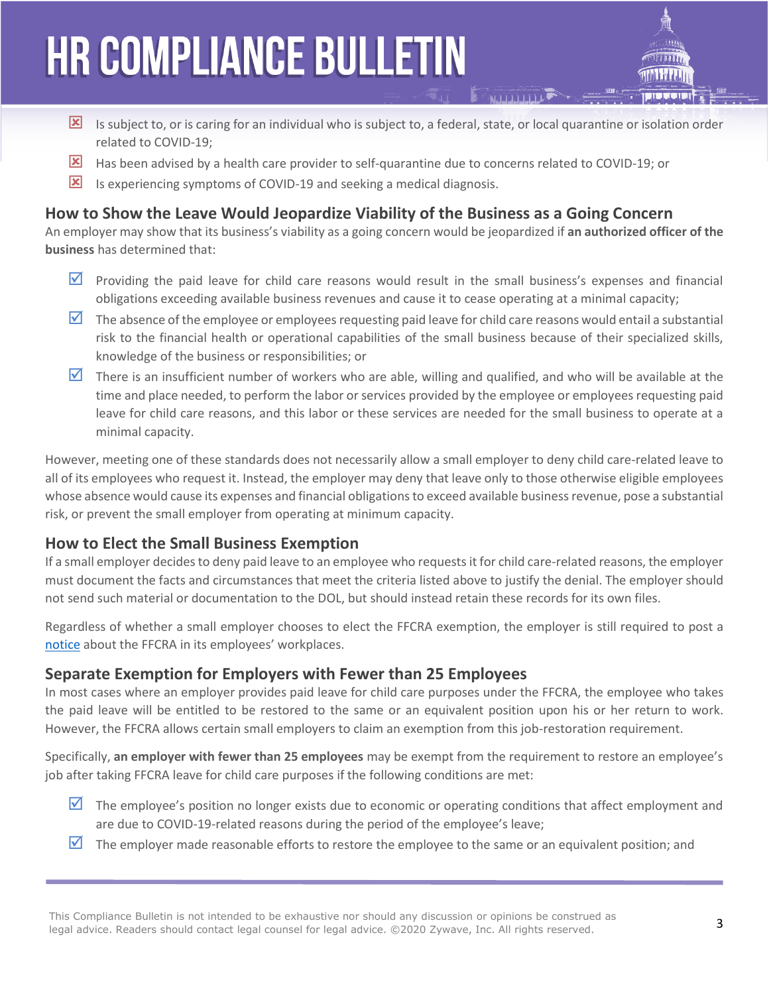# **HR COMPLIANCE BULLETIN**

- Is subject to, or is caring for an individual who is subject to, a federal, state, or local quarantine or isolation order related to COVID-19;
- Has been advised by a health care provider to self-quarantine due to concerns related to COVID-19; or
- IS Is experiencing symptoms of COVID-19 and seeking a medical diagnosis.

### **How to Show the Leave Would Jeopardize Viability of the Business as a Going Concern**

An employer may show that its business's viability as a going concern would be jeopardized if **an authorized officer of the business** has determined that:

- **Providing the paid leave for child care reasons would result in the small business's expenses and financial** obligations exceeding available business revenues and cause it to cease operating at a minimal capacity;
- $\blacksquare$  The absence of the employee or employees requesting paid leave for child care reasons would entail a substantial risk to the financial health or operational capabilities of the small business because of their specialized skills, knowledge of the business or responsibilities; or
- $\triangledown$  There is an insufficient number of workers who are able, willing and qualified, and who will be available at the time and place needed, to perform the labor or services provided by the employee or employees requesting paid leave for child care reasons, and this labor or these services are needed for the small business to operate at a minimal capacity.

However, meeting one of these standards does not necessarily allow a small employer to deny child care-related leave to all of its employees who request it. Instead, the employer may deny that leave only to those otherwise eligible employees whose absence would cause its expenses and financial obligations to exceed available business revenue, pose a substantial risk, or prevent the small employer from operating at minimum capacity.

#### **How to Elect the Small Business Exemption**

If a small employer decides to deny paid leave to an employee who requests it for child care-related reasons, the employer must document the facts and circumstances that meet the criteria listed above to justify the denial. The employer should not send such material or documentation to the DOL, but should instead retain these records for its own files.

Regardless of whether a small employer chooses to elect the FFCRA exemption, the employer is still required to post a [notice](https://www.dol.gov/sites/dolgov/files/WHD/posters/FFCRA_Poster_WH1422_Non-Federal.pdf) about the FFCRA in its employees' workplaces.

#### **Separate Exemption for Employers with Fewer than 25 Employees**

In most cases where an employer provides paid leave for child care purposes under the FFCRA, the employee who takes the paid leave will be entitled to be restored to the same or an equivalent position upon his or her return to work. However, the FFCRA allows certain small employers to claim an exemption from this job-restoration requirement.

Specifically, **an employer with fewer than 25 employees** may be exempt from the requirement to restore an employee's job after taking FFCRA leave for child care purposes if the following conditions are met:

- $\Delta$  The employee's position no longer exists due to economic or operating conditions that affect employment and are due to COVID-19-related reasons during the period of the employee's leave;
- $\triangledown$  The employer made reasonable efforts to restore the employee to the same or an equivalent position; and